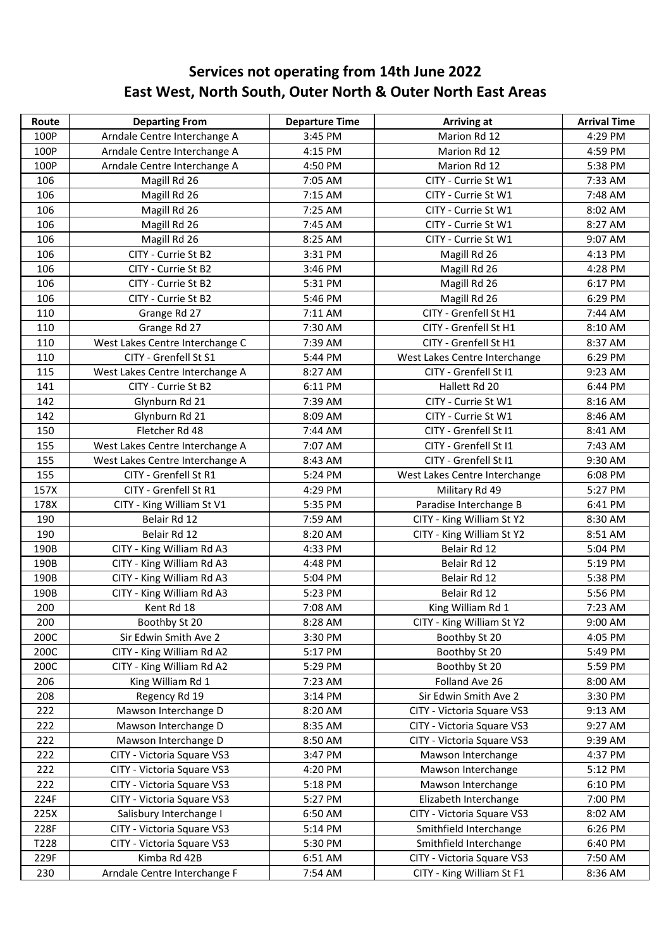## **Services not operating from 14th June 2022 East West, North South, Outer North & Outer North East Areas**

| Route | <b>Departing From</b>           | <b>Departure Time</b> | Arriving at                   | <b>Arrival Time</b> |
|-------|---------------------------------|-----------------------|-------------------------------|---------------------|
| 100P  | Arndale Centre Interchange A    | 3:45 PM               | Marion Rd 12                  | 4:29 PM             |
| 100P  | Arndale Centre Interchange A    | 4:15 PM               | Marion Rd 12                  | 4:59 PM             |
| 100P  | Arndale Centre Interchange A    | 4:50 PM               | Marion Rd 12                  | 5:38 PM             |
| 106   | Magill Rd 26                    | 7:05 AM               | CITY - Currie St W1           | 7:33 AM             |
| 106   | Magill Rd 26                    | 7:15 AM               | CITY - Currie St W1           | 7:48 AM             |
| 106   | Magill Rd 26                    | 7:25 AM               | CITY - Currie St W1           | 8:02 AM             |
| 106   | Magill Rd 26                    | 7:45 AM               | CITY - Currie St W1           | 8:27 AM             |
| 106   | Magill Rd 26                    | 8:25 AM               | CITY - Currie St W1           | 9:07 AM             |
| 106   | CITY - Currie St B2             | 3:31 PM               | Magill Rd 26                  | 4:13 PM             |
| 106   | CITY - Currie St B2             | 3:46 PM               | Magill Rd 26                  | 4:28 PM             |
| 106   | CITY - Currie St B2             | 5:31 PM               | Magill Rd 26                  | 6:17 PM             |
| 106   | CITY - Currie St B2             | 5:46 PM               | Magill Rd 26                  | 6:29 PM             |
| 110   | Grange Rd 27                    | 7:11 AM               | CITY - Grenfell St H1         | 7:44 AM             |
| 110   | Grange Rd 27                    | 7:30 AM               | CITY - Grenfell St H1         | 8:10 AM             |
| 110   | West Lakes Centre Interchange C | 7:39 AM               | CITY - Grenfell St H1         | 8:37 AM             |
| 110   | CITY - Grenfell St S1           | 5:44 PM               | West Lakes Centre Interchange | 6:29 PM             |
| 115   | West Lakes Centre Interchange A | 8:27 AM               | CITY - Grenfell St I1         | 9:23 AM             |
| 141   | CITY - Currie St B2             | 6:11 PM               | Hallett Rd 20                 | 6:44 PM             |
| 142   | Glynburn Rd 21                  | 7:39 AM               | CITY - Currie St W1           | 8:16 AM             |
| 142   | Glynburn Rd 21                  | 8:09 AM               | CITY - Currie St W1           | 8:46 AM             |
| 150   | Fletcher Rd 48                  | 7:44 AM               | CITY - Grenfell St I1         | 8:41 AM             |
| 155   | West Lakes Centre Interchange A | 7:07 AM               | CITY - Grenfell St I1         | 7:43 AM             |
| 155   | West Lakes Centre Interchange A | 8:43 AM               | CITY - Grenfell St I1         | 9:30 AM             |
| 155   | CITY - Grenfell St R1           | 5:24 PM               | West Lakes Centre Interchange | 6:08 PM             |
| 157X  | CITY - Grenfell St R1           | 4:29 PM               | Military Rd 49                | 5:27 PM             |
| 178X  | CITY - King William St V1       | 5:35 PM               | Paradise Interchange B        | 6:41 PM             |
| 190   | Belair Rd 12                    | 7:59 AM               | CITY - King William St Y2     | 8:30 AM             |
| 190   | Belair Rd 12                    | 8:20 AM               | CITY - King William St Y2     | 8:51 AM             |
| 190B  | CITY - King William Rd A3       | 4:33 PM               | Belair Rd 12                  | 5:04 PM             |
| 190B  | CITY - King William Rd A3       | 4:48 PM               | Belair Rd 12                  | 5:19 PM             |
| 190B  | CITY - King William Rd A3       | 5:04 PM               | Belair Rd 12                  | 5:38 PM             |
| 190B  | CITY - King William Rd A3       | 5:23 PM               | Belair Rd 12                  | 5:56 PM             |
| 200   | Kent Rd 18                      | 7:08 AM               | King William Rd 1             | 7:23 AM             |
| 200   | Boothby St 20                   | 8:28 AM               | CITY - King William St Y2     | 9:00 AM             |
| 200C  | Sir Edwin Smith Ave 2           | 3:30 PM               | Boothby St 20                 | 4:05 PM             |
| 200C  | CITY - King William Rd A2       | 5:17 PM               | Boothby St 20                 | 5:49 PM             |
| 200C  | CITY - King William Rd A2       | 5:29 PM               | Boothby St 20                 | 5:59 PM             |
| 206   | King William Rd 1               | 7:23 AM               | Folland Ave 26                | 8:00 AM             |
| 208   | Regency Rd 19                   | 3:14 PM               | Sir Edwin Smith Ave 2         | 3:30 PM             |
| 222   | Mawson Interchange D            | 8:20 AM               | CITY - Victoria Square VS3    | 9:13 AM             |
| 222   | Mawson Interchange D            | 8:35 AM               | CITY - Victoria Square VS3    | 9:27 AM             |
| 222   | Mawson Interchange D            | 8:50 AM               | CITY - Victoria Square VS3    | 9:39 AM             |
| 222   | CITY - Victoria Square VS3      | 3:47 PM               | Mawson Interchange            | 4:37 PM             |
| 222   | CITY - Victoria Square VS3      | 4:20 PM               | Mawson Interchange            | 5:12 PM             |
| 222   | CITY - Victoria Square VS3      | 5:18 PM               | Mawson Interchange            | 6:10 PM             |
| 224F  | CITY - Victoria Square VS3      | 5:27 PM               | Elizabeth Interchange         | 7:00 PM             |
| 225X  | Salisbury Interchange I         | 6:50 AM               | CITY - Victoria Square VS3    | 8:02 AM             |
| 228F  | CITY - Victoria Square VS3      | 5:14 PM               | Smithfield Interchange        | 6:26 PM             |
| T228  | CITY - Victoria Square VS3      | 5:30 PM               | Smithfield Interchange        | 6:40 PM             |
| 229F  | Kimba Rd 42B                    | 6:51 AM               | CITY - Victoria Square VS3    | 7:50 AM             |
| 230   | Arndale Centre Interchange F    | 7:54 AM               | CITY - King William St F1     | 8:36 AM             |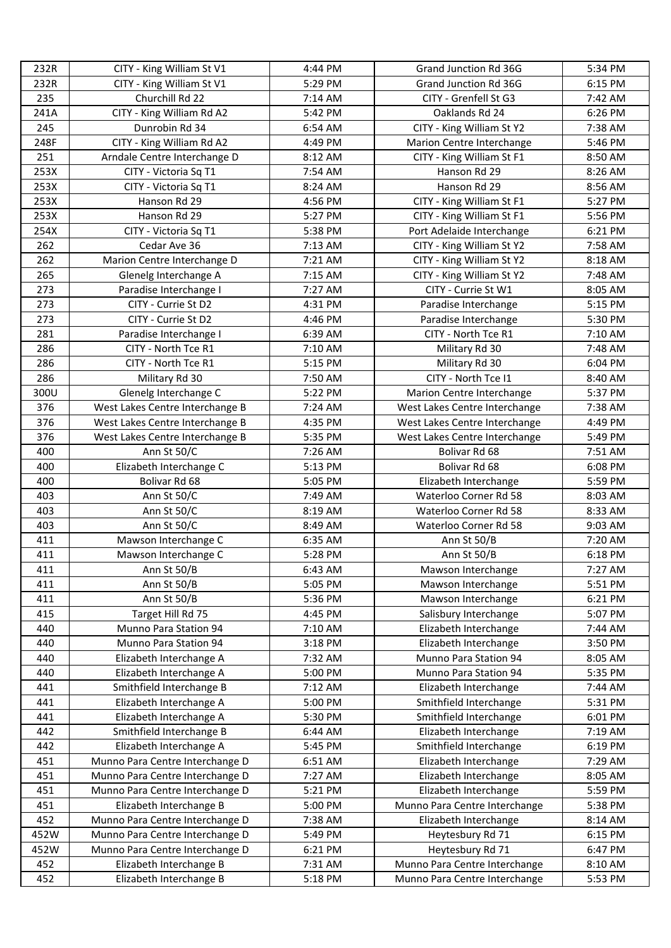| 232R | CITY - King William St V1       | 4:44 PM | Grand Junction Rd 36G         | 5:34 PM            |
|------|---------------------------------|---------|-------------------------------|--------------------|
| 232R | CITY - King William St V1       | 5:29 PM | Grand Junction Rd 36G         | 6:15 PM            |
| 235  | Churchill Rd 22                 | 7:14 AM | CITY - Grenfell St G3         | 7:42 AM            |
| 241A | CITY - King William Rd A2       | 5:42 PM | Oaklands Rd 24                | 6:26 PM            |
| 245  | Dunrobin Rd 34                  | 6:54 AM | CITY - King William St Y2     | 7:38 AM            |
| 248F | CITY - King William Rd A2       | 4:49 PM | Marion Centre Interchange     | 5:46 PM            |
| 251  | Arndale Centre Interchange D    | 8:12 AM | CITY - King William St F1     | 8:50 AM            |
| 253X | CITY - Victoria Sq T1           | 7:54 AM | Hanson Rd 29                  | 8:26 AM            |
| 253X | CITY - Victoria Sq T1           | 8:24 AM | Hanson Rd 29                  | 8:56 AM            |
| 253X | Hanson Rd 29                    | 4:56 PM | CITY - King William St F1     | 5:27 PM            |
| 253X | Hanson Rd 29                    | 5:27 PM | CITY - King William St F1     | 5:56 PM            |
| 254X | CITY - Victoria Sq T1           | 5:38 PM | Port Adelaide Interchange     | 6:21 PM            |
| 262  | Cedar Ave 36                    | 7:13 AM | CITY - King William St Y2     | 7:58 AM            |
| 262  | Marion Centre Interchange D     | 7:21 AM | CITY - King William St Y2     | 8:18 AM            |
| 265  | Glenelg Interchange A           | 7:15 AM | CITY - King William St Y2     | 7:48 AM            |
| 273  | Paradise Interchange I          | 7:27 AM | CITY - Currie St W1           | 8:05 AM            |
| 273  | CITY - Currie St D2             | 4:31 PM | Paradise Interchange          | 5:15 PM            |
| 273  | CITY - Currie St D2             | 4:46 PM | Paradise Interchange          | 5:30 PM            |
| 281  | Paradise Interchange I          | 6:39 AM | CITY - North Tce R1           | 7:10 AM            |
| 286  | CITY - North Tce R1             | 7:10 AM | Military Rd 30                | 7:48 AM            |
| 286  | CITY - North Tce R1             | 5:15 PM | Military Rd 30                | 6:04 PM            |
| 286  | Military Rd 30                  | 7:50 AM | CITY - North Tce I1           | 8:40 AM            |
| 300U | Glenelg Interchange C           | 5:22 PM | Marion Centre Interchange     | 5:37 PM            |
| 376  | West Lakes Centre Interchange B | 7:24 AM | West Lakes Centre Interchange | 7:38 AM            |
| 376  | West Lakes Centre Interchange B | 4:35 PM | West Lakes Centre Interchange | 4:49 PM            |
| 376  | West Lakes Centre Interchange B | 5:35 PM | West Lakes Centre Interchange | 5:49 PM            |
| 400  | Ann St 50/C                     | 7:26 AM | Bolivar Rd 68                 | 7:51 AM            |
| 400  | Elizabeth Interchange C         | 5:13 PM | Bolivar Rd 68                 | 6:08 PM            |
| 400  | Bolivar Rd 68                   | 5:05 PM | Elizabeth Interchange         | 5:59 PM            |
| 403  | Ann St 50/C                     | 7:49 AM | Waterloo Corner Rd 58         | 8:03 AM            |
| 403  | Ann St 50/C                     | 8:19 AM | Waterloo Corner Rd 58         | 8:33 AM            |
| 403  | Ann St 50/C                     | 8:49 AM | Waterloo Corner Rd 58         | 9:03 AM            |
| 411  | Mawson Interchange C            | 6:35 AM | Ann St 50/B                   | 7:20 AM            |
| 411  | Mawson Interchange C            | 5:28 PM | Ann St 50/B                   | 6:18 PM            |
| 411  |                                 | 6:43 AM | Mawson Interchange            |                    |
| 411  | Ann St 50/B                     | 5:05 PM | Mawson Interchange            | 7:27 AM<br>5:51 PM |
|      | Ann St 50/B<br>Ann St 50/B      |         |                               |                    |
| 411  |                                 | 5:36 PM | Mawson Interchange            | 6:21 PM            |
| 415  | Target Hill Rd 75               | 4:45 PM | Salisbury Interchange         | 5:07 PM            |
| 440  | Munno Para Station 94           | 7:10 AM | Elizabeth Interchange         | 7:44 AM            |
| 440  | Munno Para Station 94           | 3:18 PM | Elizabeth Interchange         | 3:50 PM            |
| 440  | Elizabeth Interchange A         | 7:32 AM | Munno Para Station 94         | 8:05 AM            |
| 440  | Elizabeth Interchange A         | 5:00 PM | Munno Para Station 94         | 5:35 PM            |
| 441  | Smithfield Interchange B        | 7:12 AM | Elizabeth Interchange         | 7:44 AM            |
| 441  | Elizabeth Interchange A         | 5:00 PM | Smithfield Interchange        | 5:31 PM            |
| 441  | Elizabeth Interchange A         | 5:30 PM | Smithfield Interchange        | 6:01 PM            |
| 442  | Smithfield Interchange B        | 6:44 AM | Elizabeth Interchange         | 7:19 AM            |
| 442  | Elizabeth Interchange A         | 5:45 PM | Smithfield Interchange        | 6:19 PM            |
| 451  | Munno Para Centre Interchange D | 6:51 AM | Elizabeth Interchange         | 7:29 AM            |
| 451  | Munno Para Centre Interchange D | 7:27 AM | Elizabeth Interchange         | 8:05 AM            |
| 451  | Munno Para Centre Interchange D | 5:21 PM | Elizabeth Interchange         | 5:59 PM            |
| 451  | Elizabeth Interchange B         | 5:00 PM | Munno Para Centre Interchange | 5:38 PM            |
| 452  | Munno Para Centre Interchange D | 7:38 AM | Elizabeth Interchange         | 8:14 AM            |
| 452W | Munno Para Centre Interchange D | 5:49 PM | Heytesbury Rd 71              | 6:15 PM            |
| 452W | Munno Para Centre Interchange D | 6:21 PM | Heytesbury Rd 71              | 6:47 PM            |
| 452  | Elizabeth Interchange B         | 7:31 AM | Munno Para Centre Interchange | 8:10 AM            |
| 452  | Elizabeth Interchange B         | 5:18 PM | Munno Para Centre Interchange | 5:53 PM            |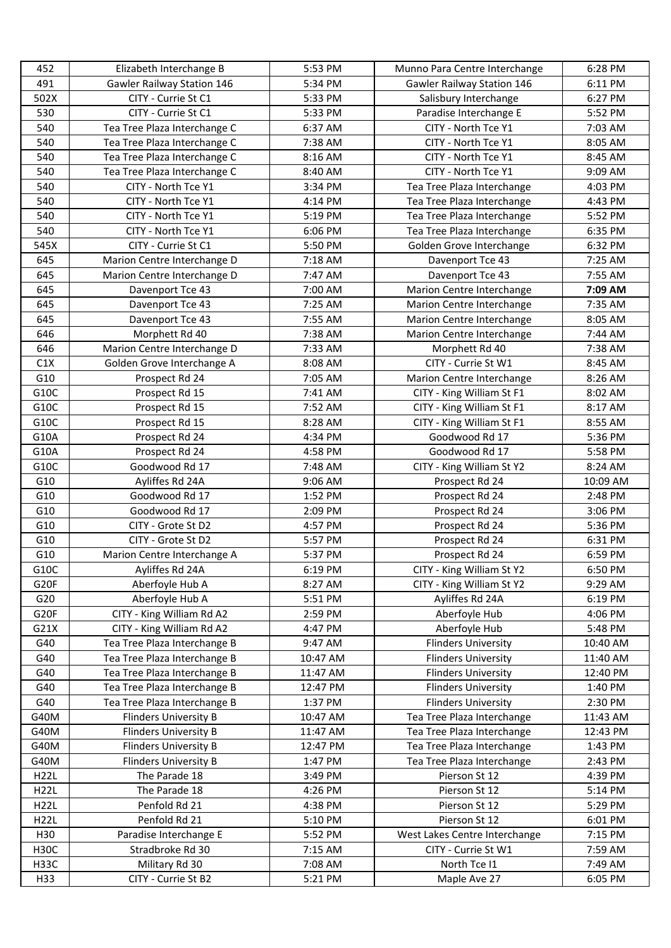| 452              | Elizabeth Interchange B      | 5:53 PM  | Munno Para Centre Interchange | 6:28 PM  |
|------------------|------------------------------|----------|-------------------------------|----------|
| 491              | Gawler Railway Station 146   | 5:34 PM  | Gawler Railway Station 146    | 6:11 PM  |
| 502X             | CITY - Currie St C1          | 5:33 PM  | Salisbury Interchange         | 6:27 PM  |
| 530              | CITY - Currie St C1          | 5:33 PM  | Paradise Interchange E        | 5:52 PM  |
| 540              | Tea Tree Plaza Interchange C | 6:37 AM  | CITY - North Tce Y1           | 7:03 AM  |
| 540              | Tea Tree Plaza Interchange C | 7:38 AM  | CITY - North Tce Y1           | 8:05 AM  |
| 540              | Tea Tree Plaza Interchange C | 8:16 AM  | CITY - North Tce Y1           | 8:45 AM  |
| 540              | Tea Tree Plaza Interchange C | 8:40 AM  | CITY - North Tce Y1           | 9:09 AM  |
| 540              | CITY - North Tce Y1          | 3:34 PM  | Tea Tree Plaza Interchange    | 4:03 PM  |
| 540              | CITY - North Tce Y1          | 4:14 PM  | Tea Tree Plaza Interchange    | 4:43 PM  |
| 540              | CITY - North Tce Y1          | 5:19 PM  | Tea Tree Plaza Interchange    | 5:52 PM  |
| 540              | CITY - North Tce Y1          | 6:06 PM  | Tea Tree Plaza Interchange    | 6:35 PM  |
| 545X             | CITY - Currie St C1          | 5:50 PM  | Golden Grove Interchange      | 6:32 PM  |
| 645              | Marion Centre Interchange D  | 7:18 AM  | Davenport Tce 43              | 7:25 AM  |
| 645              | Marion Centre Interchange D  | 7:47 AM  | Davenport Tce 43              | 7:55 AM  |
| 645              | Davenport Tce 43             | 7:00 AM  | Marion Centre Interchange     | 7:09 AM  |
| 645              | Davenport Tce 43             | 7:25 AM  | Marion Centre Interchange     | 7:35 AM  |
| 645              | Davenport Tce 43             | 7:55 AM  | Marion Centre Interchange     | 8:05 AM  |
| 646              | Morphett Rd 40               | 7:38 AM  | Marion Centre Interchange     | 7:44 AM  |
| 646              | Marion Centre Interchange D  | 7:33 AM  | Morphett Rd 40                | 7:38 AM  |
| C1X              | Golden Grove Interchange A   | 8:08 AM  | CITY - Currie St W1           | 8:45 AM  |
| G10              | Prospect Rd 24               | 7:05 AM  | Marion Centre Interchange     | 8:26 AM  |
| G10C             | Prospect Rd 15               | 7:41 AM  | CITY - King William St F1     | 8:02 AM  |
| G10C             | Prospect Rd 15               | 7:52 AM  | CITY - King William St F1     | 8:17 AM  |
| G10C             | Prospect Rd 15               | 8:28 AM  | CITY - King William St F1     | 8:55 AM  |
| G10A             | Prospect Rd 24               | 4:34 PM  | Goodwood Rd 17                | 5:36 PM  |
| G10A             | Prospect Rd 24               | 4:58 PM  | Goodwood Rd 17                | 5:58 PM  |
| G10C             | Goodwood Rd 17               | 7:48 AM  | CITY - King William St Y2     | 8:24 AM  |
| G10              | Ayliffes Rd 24A              | 9:06 AM  | Prospect Rd 24                | 10:09 AM |
| G10              | Goodwood Rd 17               | 1:52 PM  | Prospect Rd 24                | 2:48 PM  |
| G10              | Goodwood Rd 17               | 2:09 PM  | Prospect Rd 24                | 3:06 PM  |
| G10              | CITY - Grote St D2           | 4:57 PM  | Prospect Rd 24                | 5:36 PM  |
| G10              | CITY - Grote St D2           | 5:57 PM  | Prospect Rd 24                | 6:31 PM  |
| G10              | Marion Centre Interchange A  | 5:37 PM  | Prospect Rd 24                | 6:59 PM  |
| G10C             | Ayliffes Rd 24A              | 6:19 PM  | CITY - King William St Y2     | 6:50 PM  |
| G20F             | Aberfoyle Hub A              | 8:27 AM  | CITY - King William St Y2     | 9:29 AM  |
| G20              | Aberfoyle Hub A              | 5:51 PM  | Ayliffes Rd 24A               | 6:19 PM  |
| G <sub>20F</sub> | CITY - King William Rd A2    | 2:59 PM  | Aberfoyle Hub                 | 4:06 PM  |
| G21X             | CITY - King William Rd A2    | 4:47 PM  | Aberfoyle Hub                 | 5:48 PM  |
| G40              | Tea Tree Plaza Interchange B | 9:47 AM  | <b>Flinders University</b>    | 10:40 AM |
| G40              | Tea Tree Plaza Interchange B | 10:47 AM | <b>Flinders University</b>    | 11:40 AM |
| G40              | Tea Tree Plaza Interchange B | 11:47 AM | <b>Flinders University</b>    | 12:40 PM |
| G40              | Tea Tree Plaza Interchange B | 12:47 PM | <b>Flinders University</b>    | 1:40 PM  |
| G40              | Tea Tree Plaza Interchange B | 1:37 PM  | <b>Flinders University</b>    | 2:30 PM  |
| G40M             | Flinders University B        | 10:47 AM | Tea Tree Plaza Interchange    | 11:43 AM |
| G40M             | Flinders University B        | 11:47 AM | Tea Tree Plaza Interchange    | 12:43 PM |
| G40M             | Flinders University B        | 12:47 PM | Tea Tree Plaza Interchange    | 1:43 PM  |
| G40M             | <b>Flinders University B</b> | 1:47 PM  | Tea Tree Plaza Interchange    | 2:43 PM  |
| H22L             | The Parade 18                | 3:49 PM  | Pierson St 12                 | 4:39 PM  |
| <b>H22L</b>      | The Parade 18                | 4:26 PM  | Pierson St 12                 | 5:14 PM  |
| H22L             | Penfold Rd 21                | 4:38 PM  | Pierson St 12                 | 5:29 PM  |
| H22L             | Penfold Rd 21                | 5:10 PM  | Pierson St 12                 | 6:01 PM  |
| H30              | Paradise Interchange E       | 5:52 PM  | West Lakes Centre Interchange | 7:15 PM  |
| <b>H30C</b>      | Stradbroke Rd 30             | 7:15 AM  | CITY - Currie St W1           | 7:59 AM  |
| <b>H33C</b>      | Military Rd 30               | 7:08 AM  | North Tce I1                  | 7:49 AM  |
| H33              | CITY - Currie St B2          | 5:21 PM  | Maple Ave 27                  | 6:05 PM  |